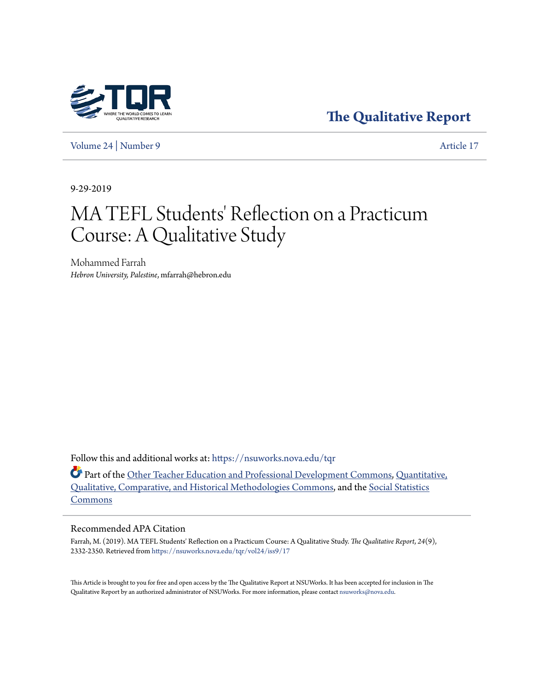

**[The Qualitative Report](https://nsuworks.nova.edu/tqr?utm_source=nsuworks.nova.edu%2Ftqr%2Fvol24%2Fiss9%2F17&utm_medium=PDF&utm_campaign=PDFCoverPages)**

[Volume 24](https://nsuworks.nova.edu/tqr/vol24?utm_source=nsuworks.nova.edu%2Ftqr%2Fvol24%2Fiss9%2F17&utm_medium=PDF&utm_campaign=PDFCoverPages) | [Number 9](https://nsuworks.nova.edu/tqr/vol24/iss9?utm_source=nsuworks.nova.edu%2Ftqr%2Fvol24%2Fiss9%2F17&utm_medium=PDF&utm_campaign=PDFCoverPages) [Article 17](https://nsuworks.nova.edu/tqr/vol24/iss9/17?utm_source=nsuworks.nova.edu%2Ftqr%2Fvol24%2Fiss9%2F17&utm_medium=PDF&utm_campaign=PDFCoverPages)

9-29-2019

# MA TEFL Students' Reflection on a Practicum Course: A Qualitative Study

Mohammed Farrah *Hebron University, Palestine*, mfarrah@hebron.edu

Follow this and additional works at: [https://nsuworks.nova.edu/tqr](https://nsuworks.nova.edu/tqr?utm_source=nsuworks.nova.edu%2Ftqr%2Fvol24%2Fiss9%2F17&utm_medium=PDF&utm_campaign=PDFCoverPages)

Part of the [Other Teacher Education and Professional Development Commons](http://network.bepress.com/hgg/discipline/810?utm_source=nsuworks.nova.edu%2Ftqr%2Fvol24%2Fiss9%2F17&utm_medium=PDF&utm_campaign=PDFCoverPages), [Quantitative,](http://network.bepress.com/hgg/discipline/423?utm_source=nsuworks.nova.edu%2Ftqr%2Fvol24%2Fiss9%2F17&utm_medium=PDF&utm_campaign=PDFCoverPages) [Qualitative, Comparative, and Historical Methodologies Commons,](http://network.bepress.com/hgg/discipline/423?utm_source=nsuworks.nova.edu%2Ftqr%2Fvol24%2Fiss9%2F17&utm_medium=PDF&utm_campaign=PDFCoverPages) and the [Social Statistics](http://network.bepress.com/hgg/discipline/1275?utm_source=nsuworks.nova.edu%2Ftqr%2Fvol24%2Fiss9%2F17&utm_medium=PDF&utm_campaign=PDFCoverPages) [Commons](http://network.bepress.com/hgg/discipline/1275?utm_source=nsuworks.nova.edu%2Ftqr%2Fvol24%2Fiss9%2F17&utm_medium=PDF&utm_campaign=PDFCoverPages)

#### Recommended APA Citation

Farrah, M. (2019). MA TEFL Students' Reflection on a Practicum Course: A Qualitative Study. *The Qualitative Report*, *24*(9), 2332-2350. Retrieved from [https://nsuworks.nova.edu/tqr/vol24/iss9/17](https://nsuworks.nova.edu/tqr/vol24/iss9/17?utm_source=nsuworks.nova.edu%2Ftqr%2Fvol24%2Fiss9%2F17&utm_medium=PDF&utm_campaign=PDFCoverPages)

This Article is brought to you for free and open access by the The Qualitative Report at NSUWorks. It has been accepted for inclusion in The Qualitative Report by an authorized administrator of NSUWorks. For more information, please contact [nsuworks@nova.edu](mailto:nsuworks@nova.edu).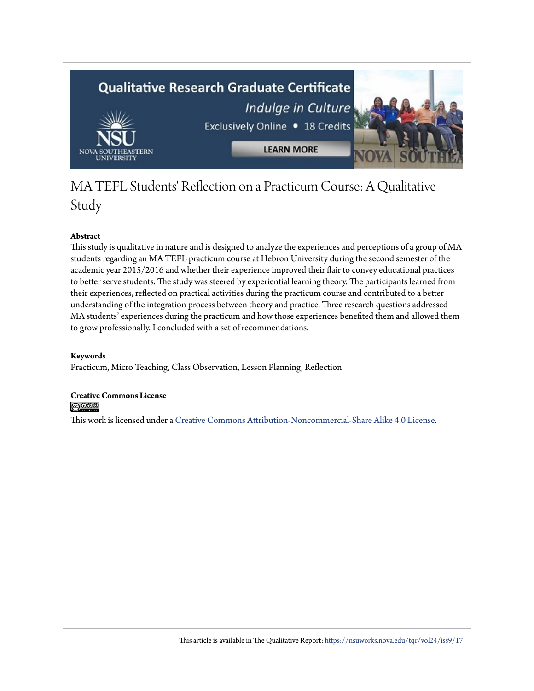

## MA TEFL Students' Reflection on a Practicum Course: A Qualitative Study

### **Abstract**

This study is qualitative in nature and is designed to analyze the experiences and perceptions of a group of MA students regarding an MA TEFL practicum course at Hebron University during the second semester of the academic year 2015/2016 and whether their experience improved their flair to convey educational practices to better serve students. The study was steered by experiential learning theory. The participants learned from their experiences, reflected on practical activities during the practicum course and contributed to a better understanding of the integration process between theory and practice. Three research questions addressed MA students' experiences during the practicum and how those experiences benefited them and allowed them to grow professionally. I concluded with a set of recommendations.

#### **Keywords**

Practicum, Micro Teaching, Class Observation, Lesson Planning, Reflection

**Creative Commons License**  $\odot$   $\odot$   $\odot$ 

This work is licensed under a [Creative Commons Attribution-Noncommercial-Share Alike 4.0 License.](https://creativecommons.org/licenses/by-nc-sa/4.0/)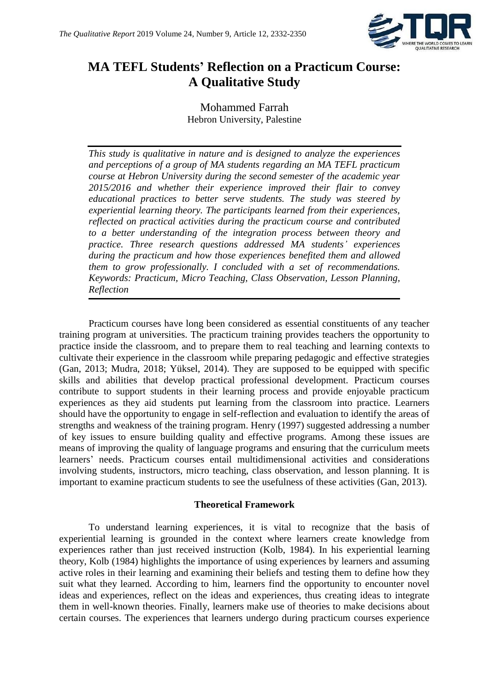

## **MA TEFL Students' Reflection on a Practicum Course: A Qualitative Study**

Mohammed Farrah Hebron University, Palestine

*This study is qualitative in nature and is designed to analyze the experiences and perceptions of a group of MA students regarding an MA TEFL practicum course at Hebron University during the second semester of the academic year 2015/2016 and whether their experience improved their flair to convey educational practices to better serve students. The study was steered by experiential learning theory. The participants learned from their experiences, reflected on practical activities during the practicum course and contributed to a better understanding of the integration process between theory and practice. Three research questions addressed MA students' experiences during the practicum and how those experiences benefited them and allowed them to grow professionally. I concluded with a set of recommendations. Keywords: Practicum, Micro Teaching, Class Observation, Lesson Planning, Reflection* 

Practicum courses have long been considered as essential constituents of any teacher training program at universities. The practicum training provides teachers the opportunity to practice inside the classroom, and to prepare them to real teaching and learning contexts to cultivate their experience in the classroom while preparing pedagogic and effective strategies (Gan, 2013; Mudra, 2018; Yüksel, 2014). They are supposed to be equipped with specific skills and abilities that develop practical professional development. Practicum courses contribute to support students in their learning process and provide enjoyable practicum experiences as they aid students put learning from the classroom into practice. Learners should have the opportunity to engage in self-reflection and evaluation to identify the areas of strengths and weakness of the training program. Henry (1997) suggested addressing a number of key issues to ensure building quality and effective programs. Among these issues are means of improving the quality of language programs and ensuring that the curriculum meets learners' needs. Practicum courses entail multidimensional activities and considerations involving students, instructors, micro teaching, class observation, and lesson planning. It is important to examine practicum students to see the usefulness of these activities (Gan, 2013).

## **Theoretical Framework**

To understand learning experiences, it is vital to recognize that the basis of experiential learning is grounded in the context where learners create knowledge from experiences rather than just received instruction (Kolb, 1984). In his experiential learning theory, Kolb (1984) highlights the importance of using experiences by learners and assuming active roles in their learning and examining their beliefs and testing them to define how they suit what they learned. According to him, learners find the opportunity to encounter novel ideas and experiences, reflect on the ideas and experiences, thus creating ideas to integrate them in well-known theories. Finally, learners make use of theories to make decisions about certain courses. The experiences that learners undergo during practicum courses experience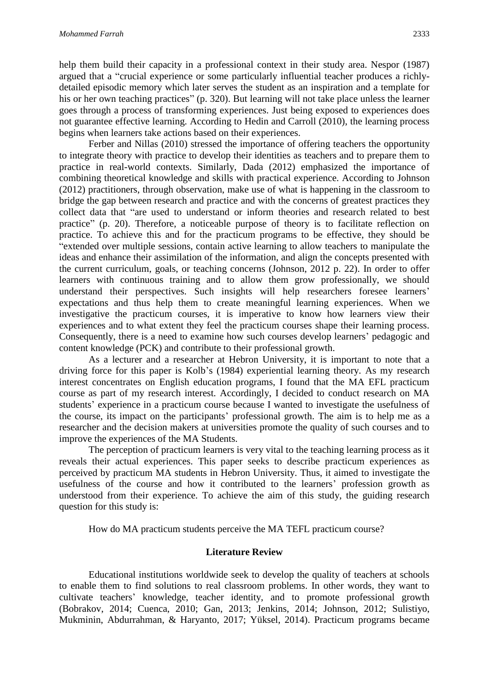help them build their capacity in a professional context in their study area. Nespor (1987) argued that a "crucial experience or some particularly influential teacher produces a richlydetailed episodic memory which later serves the student as an inspiration and a template for his or her own teaching practices" (p. 320). But learning will not take place unless the learner goes through a process of transforming experiences. Just being exposed to experiences does not guarantee effective learning. According to Hedin and Carroll (2010), the learning process begins when learners take actions based on their experiences.

Ferber and Nillas (2010) stressed the importance of offering teachers the opportunity to integrate theory with practice to develop their identities as teachers and to prepare them to practice in real-world contexts. Similarly, Dada (2012) emphasized the importance of combining theoretical knowledge and skills with practical experience. According to Johnson (2012) practitioners, through observation, make use of what is happening in the classroom to bridge the gap between research and practice and with the concerns of greatest practices they collect data that "are used to understand or inform theories and research related to best practice" (p. 20). Therefore, a noticeable purpose of theory is to facilitate reflection on practice. To achieve this and for the practicum programs to be effective, they should be "extended over multiple sessions, contain active learning to allow teachers to manipulate the ideas and enhance their assimilation of the information, and align the concepts presented with the current curriculum, goals, or teaching concerns (Johnson, 2012 p. 22). In order to offer learners with continuous training and to allow them grow professionally, we should understand their perspectives. Such insights will help researchers foresee learners' expectations and thus help them to create meaningful learning experiences. When we investigative the practicum courses, it is imperative to know how learners view their experiences and to what extent they feel the practicum courses shape their learning process. Consequently, there is a need to examine how such courses develop learners' pedagogic and content knowledge (PCK) and contribute to their professional growth.

As a lecturer and a researcher at Hebron University, it is important to note that a driving force for this paper is Kolb's (1984) experiential learning theory. As my research interest concentrates on English education programs, I found that the MA EFL practicum course as part of my research interest. Accordingly, I decided to conduct research on MA students' experience in a practicum course because I wanted to investigate the usefulness of the course, its impact on the participants' professional growth. The aim is to help me as a researcher and the decision makers at universities promote the quality of such courses and to improve the experiences of the MA Students.

The perception of practicum learners is very vital to the teaching learning process as it reveals their actual experiences. This paper seeks to describe practicum experiences as perceived by practicum MA students in Hebron University. Thus, it aimed to investigate the usefulness of the course and how it contributed to the learners' profession growth as understood from their experience*.* To achieve the aim of this study, the guiding research question for this study is:

How do MA practicum students perceive the MA TEFL practicum course?

#### **Literature Review**

Educational institutions worldwide seek to develop the quality of teachers at schools to enable them to find solutions to real classroom problems. In other words, they want to cultivate teachers' knowledge, teacher identity, and to promote professional growth (Bobrakov, 2014; Cuenca, 2010; Gan, 2013; Jenkins, 2014; Johnson, 2012; Sulistiyo, Mukminin, Abdurrahman, & Haryanto, 2017; Yüksel, 2014). Practicum programs became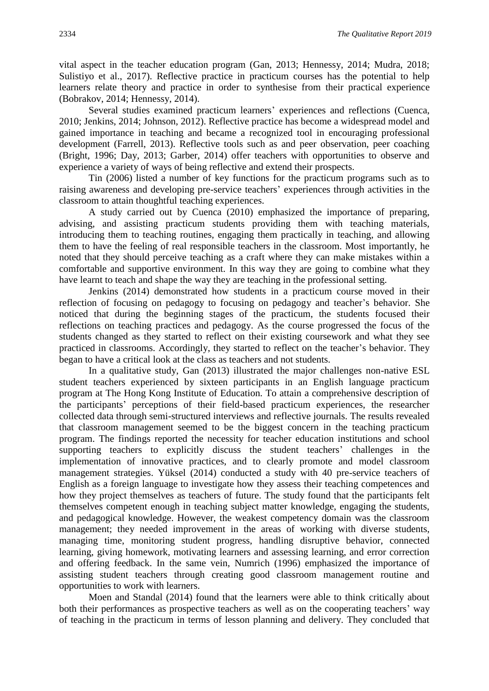vital aspect in the teacher education program (Gan, 2013; Hennessy, 2014; Mudra, 2018; Sulistiyo et al., 2017). Reflective practice in practicum courses has the potential to help learners relate theory and practice in order to synthesise from their practical experience (Bobrakov, 2014; Hennessy, 2014).

Several studies examined practicum learners' experiences and reflections (Cuenca, 2010; Jenkins, 2014; Johnson, 2012). Reflective practice has become a widespread model and gained importance in teaching and became a recognized tool in encouraging professional development (Farrell, 2013). Reflective tools such as and peer observation, peer coaching (Bright, 1996; Day, 2013; Garber, 2014) offer teachers with opportunities to observe and experience a variety of ways of being reflective and extend their prospects.

Tin (2006) listed a number of key functions for the practicum programs such as to raising awareness and developing pre-service teachers' experiences through activities in the classroom to attain thoughtful teaching experiences.

A study carried out by Cuenca (2010) emphasized the importance of preparing, advising, and assisting practicum students providing them with teaching materials, introducing them to teaching routines, engaging them practically in teaching, and allowing them to have the feeling of real responsible teachers in the classroom. Most importantly, he noted that they should perceive teaching as a craft where they can make mistakes within a comfortable and supportive environment. In this way they are going to combine what they have learnt to teach and shape the way they are teaching in the professional setting.

Jenkins (2014) demonstrated how students in a practicum course moved in their reflection of focusing on pedagogy to focusing on pedagogy and teacher's behavior. She noticed that during the beginning stages of the practicum, the students focused their reflections on teaching practices and pedagogy. As the course progressed the focus of the students changed as they started to reflect on their existing coursework and what they see practiced in classrooms. Accordingly, they started to reflect on the teacher's behavior. They began to have a critical look at the class as teachers and not students.

In a qualitative study, Gan (2013) illustrated the major challenges non-native ESL student teachers experienced by sixteen participants in an English language practicum program at The Hong Kong Institute of Education. To attain a comprehensive description of the participants' perceptions of their field-based practicum experiences, the researcher collected data through semi-structured interviews and reflective journals. The results revealed that classroom management seemed to be the biggest concern in the teaching practicum program. The findings reported the necessity for teacher education institutions and school supporting teachers to explicitly discuss the student teachers' challenges in the implementation of innovative practices, and to clearly promote and model classroom management strategies. Yüksel (2014) conducted a study with 40 pre-service teachers of English as a foreign language to investigate how they assess their teaching competences and how they project themselves as teachers of future. The study found that the participants felt themselves competent enough in teaching subject matter knowledge, engaging the students, and pedagogical knowledge. However, the weakest competency domain was the classroom management; they needed improvement in the areas of working with diverse students, managing time, monitoring student progress, handling disruptive behavior, connected learning, giving homework, motivating learners and assessing learning, and error correction and offering feedback. In the same vein, Numrich (1996) emphasized the importance of assisting student teachers through creating good classroom management routine and opportunities to work with learners.

Moen and Standal (2014) found that the learners were able to think critically about both their performances as prospective teachers as well as on the cooperating teachers' way of teaching in the practicum in terms of lesson planning and delivery. They concluded that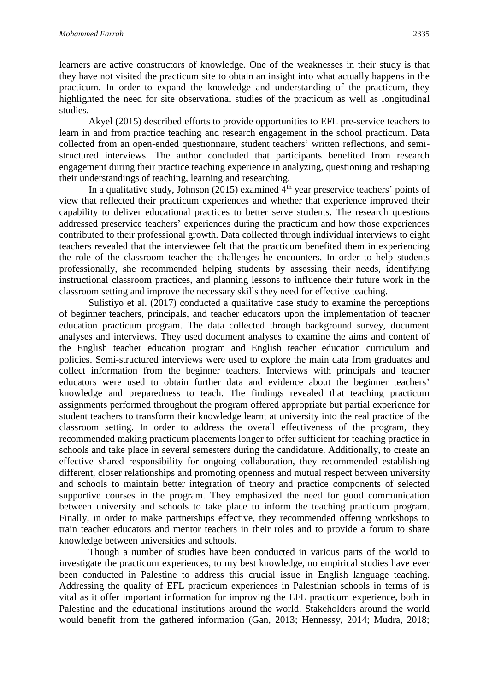learners are active constructors of knowledge. One of the weaknesses in their study is that they have not visited the practicum site to obtain an insight into what actually happens in the practicum. In order to expand the knowledge and understanding of the practicum, they highlighted the need for site observational studies of the practicum as well as longitudinal studies.

Akyel (2015) described efforts to provide opportunities to EFL pre-service teachers to learn in and from practice teaching and research engagement in the school practicum. Data collected from an open-ended questionnaire, student teachers' written reflections, and semistructured interviews. The author concluded that participants benefited from research engagement during their practice teaching experience in analyzing, questioning and reshaping their understandings of teaching, learning and researching.

In a qualitative study, Johnson (2015) examined  $4<sup>th</sup>$  year preservice teachers' points of view that reflected their practicum experiences and whether that experience improved their capability to deliver educational practices to better serve students. The research questions addressed preservice teachers' experiences during the practicum and how those experiences contributed to their professional growth. Data collected through individual interviews to eight teachers revealed that the interviewee felt that the practicum benefited them in experiencing the role of the classroom teacher the challenges he encounters. In order to help students professionally, she recommended helping students by assessing their needs, identifying instructional classroom practices, and planning lessons to influence their future work in the classroom setting and improve the necessary skills they need for effective teaching.

Sulistiyo et al. (2017) conducted a qualitative case study to examine the perceptions of beginner teachers, principals, and teacher educators upon the implementation of teacher education practicum program. The data collected through background survey, document analyses and interviews. They used document analyses to examine the aims and content of the English teacher education program and English teacher education curriculum and policies. Semi-structured interviews were used to explore the main data from graduates and collect information from the beginner teachers. Interviews with principals and teacher educators were used to obtain further data and evidence about the beginner teachers' knowledge and preparedness to teach. The findings revealed that teaching practicum assignments performed throughout the program offered appropriate but partial experience for student teachers to transform their knowledge learnt at university into the real practice of the classroom setting. In order to address the overall effectiveness of the program, they recommended making practicum placements longer to offer sufficient for teaching practice in schools and take place in several semesters during the candidature. Additionally, to create an effective shared responsibility for ongoing collaboration, they recommended establishing different, closer relationships and promoting openness and mutual respect between university and schools to maintain better integration of theory and practice components of selected supportive courses in the program. They emphasized the need for good communication between university and schools to take place to inform the teaching practicum program. Finally, in order to make partnerships effective, they recommended offering workshops to train teacher educators and mentor teachers in their roles and to provide a forum to share knowledge between universities and schools.

Though a number of studies have been conducted in various parts of the world to investigate the practicum experiences, to my best knowledge, no empirical studies have ever been conducted in Palestine to address this crucial issue in English language teaching. Addressing the quality of EFL practicum experiences in Palestinian schools in terms of is vital as it offer important information for improving the EFL practicum experience, both in Palestine and the educational institutions around the world. Stakeholders around the world would benefit from the gathered information (Gan, 2013; Hennessy, 2014; Mudra, 2018;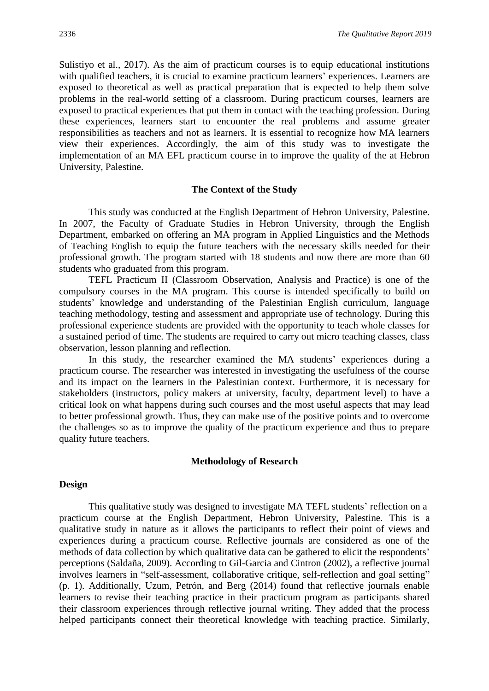Sulistiyo et al., 2017). As the aim of practicum courses is to equip educational institutions with qualified teachers, it is crucial to examine practicum learners' experiences. Learners are exposed to theoretical as well as practical preparation that is expected to help them solve problems in the real-world setting of a classroom. During practicum courses, learners are exposed to practical experiences that put them in contact with the teaching profession. During these experiences, learners start to encounter the real problems and assume greater responsibilities as teachers and not as learners. It is essential to recognize how MA learners view their experiences. Accordingly, the aim of this study was to investigate the implementation of an MA EFL practicum course in to improve the quality of the at Hebron University, Palestine.

#### **The Context of the Study**

This study was conducted at the English Department of Hebron University, Palestine. In 2007, the Faculty of Graduate Studies in Hebron University, through the English Department, embarked on offering an MA program in Applied Linguistics and the Methods of Teaching English to equip the future teachers with the necessary skills needed for their professional growth. The program started with 18 students and now there are more than 60 students who graduated from this program.

TEFL Practicum II (Classroom Observation, Analysis and Practice) is one of the compulsory courses in the MA program. This course is intended specifically to build on students' knowledge and understanding of the Palestinian English curriculum, language teaching methodology, testing and assessment and appropriate use of technology. During this professional experience students are provided with the opportunity to teach whole classes for a sustained period of time. The students are required to carry out micro teaching classes, class observation, lesson planning and reflection.

In this study, the researcher examined the MA students' experiences during a practicum course. The researcher was interested in investigating the usefulness of the course and its impact on the learners in the Palestinian context. Furthermore, it is necessary for stakeholders (instructors, policy makers at university, faculty, department level) to have a critical look on what happens during such courses and the most useful aspects that may lead to better professional growth. Thus, they can make use of the positive points and to overcome the challenges so as to improve the quality of the practicum experience and thus to prepare quality future teachers.

#### **Methodology of Research**

### **Design**

This qualitative study was designed to investigate MA TEFL students' reflection on a practicum course at the English Department, Hebron University, Palestine. This is a qualitative study in nature as it allows the participants to reflect their point of views and experiences during a practicum course. Reflective journals are considered as one of the methods of data collection by which qualitative data can be gathered to elicit the respondents' perceptions (Saldaña, 2009). According to Gil-Garcia and Cintron (2002), a reflective journal involves learners in "self-assessment, collaborative critique, self-reflection and goal setting" (p. 1). Additionally, Uzum, Petrón, and Berg (2014) found that reflective journals enable learners to revise their teaching practice in their practicum program as participants shared their classroom experiences through reflective journal writing. They added that the process helped participants connect their theoretical knowledge with teaching practice. Similarly,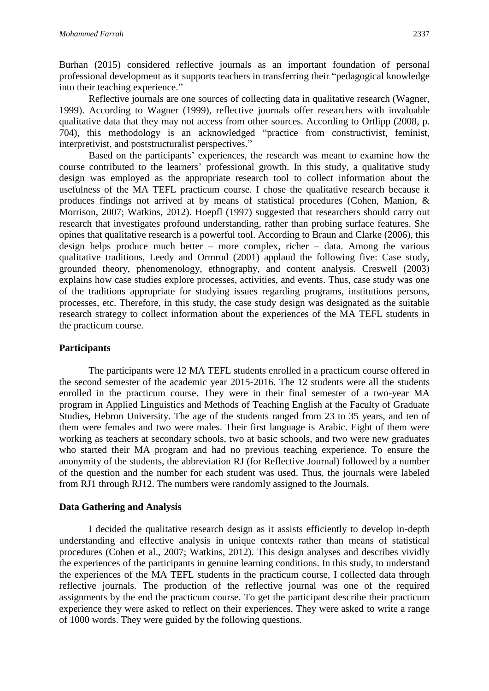Burhan (2015) considered reflective journals as an important foundation of personal professional development as it supports teachers in transferring their "pedagogical knowledge into their teaching experience."

Reflective journals are one sources of collecting data in qualitative research (Wagner, 1999). According to Wagner (1999), reflective journals offer researchers with invaluable qualitative data that they may not access from other sources. According to Ortlipp (2008, p. 704), this methodology is an acknowledged "practice from constructivist, feminist, interpretivist, and poststructuralist perspectives."

Based on the participants' experiences, the research was meant to examine how the course contributed to the learners' professional growth. In this study, a qualitative study design was employed as the appropriate research tool to collect information about the usefulness of the MA TEFL practicum course. I chose the qualitative research because it produces findings not arrived at by means of statistical procedures (Cohen, Manion, & Morrison, 2007; Watkins, 2012). Hoepfl (1997) suggested that researchers should carry out research that investigates profound understanding, rather than probing surface features. She opines that qualitative research is a powerful tool. According to Braun and Clarke (2006), this design helps produce much better – more complex, richer – data. Among the various qualitative traditions, Leedy and Ormrod (2001) applaud the following five: Case study, grounded theory, phenomenology, ethnography, and content analysis. Creswell (2003) explains how case studies explore processes, activities, and events. Thus, case study was one of the traditions appropriate for studying issues regarding programs, institutions persons, processes, etc. Therefore, in this study, the case study design was designated as the suitable research strategy to collect information about the experiences of the MA TEFL students in the practicum course.

## **Participants**

The participants were 12 MA TEFL students enrolled in a practicum course offered in the second semester of the academic year 2015-2016. The 12 students were all the students enrolled in the practicum course. They were in their final semester of a two-year MA program in Applied Linguistics and Methods of Teaching English at the Faculty of Graduate Studies, Hebron University. The age of the students ranged from 23 to 35 years, and ten of them were females and two were males. Their first language is Arabic. Eight of them were working as teachers at secondary schools, two at basic schools, and two were new graduates who started their MA program and had no previous teaching experience. To ensure the anonymity of the students, the abbreviation RJ (for Reflective Journal) followed by a number of the question and the number for each student was used. Thus, the journals were labeled from RJ1 through RJ12. The numbers were randomly assigned to the Journals.

## **Data Gathering and Analysis**

I decided the qualitative research design as it assists efficiently to develop in-depth understanding and effective analysis in unique contexts rather than means of statistical procedures (Cohen et al., 2007; Watkins, 2012). This design analyses and describes vividly the experiences of the participants in genuine learning conditions. In this study, to understand the experiences of the MA TEFL students in the practicum course, I collected data through reflective journals. The production of the reflective journal was one of the required assignments by the end the practicum course. To get the participant describe their practicum experience they were asked to reflect on their experiences. They were asked to write a range of 1000 words. They were guided by the following questions.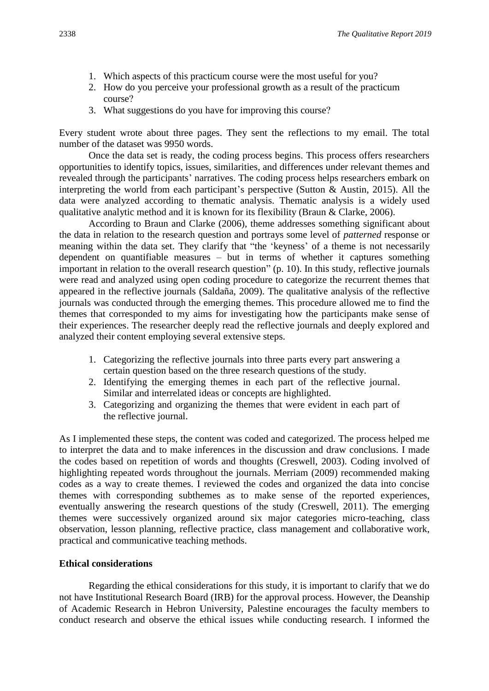- 1. Which aspects of this practicum course were the most useful for you?
- 2. How do you perceive your professional growth as a result of the practicum course?
- 3. What suggestions do you have for improving this course?

Every student wrote about three pages. They sent the reflections to my email. The total number of the dataset was 9950 words.

Once the data set is ready, the coding process begins. This process offers researchers opportunities to identify topics, issues, similarities, and differences under relevant themes and revealed through the participants' narratives. The coding process helps researchers embark on interpreting the world from each participant's perspective (Sutton & Austin, 2015). All the data were analyzed according to thematic analysis. Thematic analysis is a widely used qualitative analytic method and it is known for its flexibility (Braun & Clarke, 2006).

According to Braun and Clarke (2006), theme addresses something significant about the data in relation to the research question and portrays some level of *patterned* response or meaning within the data set. They clarify that "the 'keyness' of a theme is not necessarily dependent on quantifiable measures – but in terms of whether it captures something important in relation to the overall research question" (p. 10). In this study, reflective journals were read and analyzed using open coding procedure to categorize the recurrent themes that appeared in the reflective journals (Saldaña, 2009). The qualitative analysis of the reflective journals was conducted through the emerging themes. This procedure allowed me to find the themes that corresponded to my aims for investigating how the participants make sense of their experiences. The researcher deeply read the reflective journals and deeply explored and analyzed their content employing several extensive steps.

- 1. Categorizing the reflective journals into three parts every part answering a certain question based on the three research questions of the study.
- 2. Identifying the emerging themes in each part of the reflective journal. Similar and interrelated ideas or concepts are highlighted.
- 3. Categorizing and organizing the themes that were evident in each part of the reflective journal.

As I implemented these steps, the content was coded and categorized. The process helped me to interpret the data and to make inferences in the discussion and draw conclusions. I made the codes based on repetition of words and thoughts (Creswell, 2003). Coding involved of highlighting repeated words throughout the journals. Merriam (2009) recommended making codes as a way to create themes. I reviewed the codes and organized the data into concise themes with corresponding subthemes as to make sense of the reported experiences, eventually answering the research questions of the study (Creswell, 2011). The emerging themes were successively organized around six major categories micro-teaching, class observation, lesson planning, reflective practice, class management and collaborative work, practical and communicative teaching methods.

## **Ethical considerations**

Regarding the ethical considerations for this study, it is important to clarify that we do not have Institutional Research Board (IRB) for the approval process. However, the Deanship of Academic Research in Hebron University, Palestine encourages the faculty members to conduct research and observe the ethical issues while conducting research. I informed the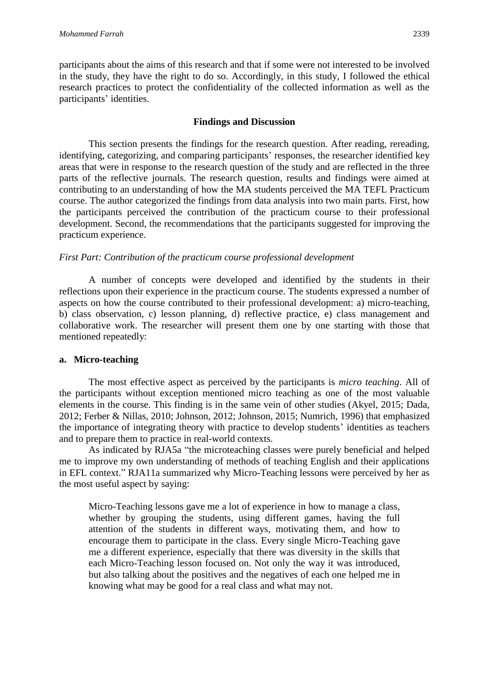participants about the aims of this research and that if some were not interested to be involved in the study, they have the right to do so. Accordingly, in this study, I followed the ethical research practices to protect the confidentiality of the collected information as well as the participants' identities.

## **Findings and Discussion**

This section presents the findings for the research question. After reading, rereading, identifying, categorizing, and comparing participants' responses, the researcher identified key areas that were in response to the research question of the study and are reflected in the three parts of the reflective journals. The research question, results and findings were aimed at contributing to an understanding of how the MA students perceived the MA TEFL Practicum course. The author categorized the findings from data analysis into two main parts. First, how the participants perceived the contribution of the practicum course to their professional development. Second, the recommendations that the participants suggested for improving the practicum experience.

## *First Part: Contribution of the practicum course professional development*

A number of concepts were developed and identified by the students in their reflections upon their experience in the practicum course. The students expressed a number of aspects on how the course contributed to their professional development: a) micro-teaching, b) class observation, c) lesson planning, d) reflective practice, e) class management and collaborative work. The researcher will present them one by one starting with those that mentioned repeatedly:

## **a. Micro-teaching**

The most effective aspect as perceived by the participants is *micro teaching*. All of the participants without exception mentioned micro teaching as one of the most valuable elements in the course. This finding is in the same vein of other studies (Akyel, 2015; Dada, 2012; Ferber & Nillas, 2010; Johnson, 2012; Johnson, 2015; Numrich, 1996) that emphasized the importance of integrating theory with practice to develop students' identities as teachers and to prepare them to practice in real-world contexts.

As indicated by RJA5a "the microteaching classes were purely beneficial and helped me to improve my own understanding of methods of teaching English and their applications in EFL context." RJA11a summarized why Micro-Teaching lessons were perceived by her as the most useful aspect by saying:

Micro-Teaching lessons gave me a lot of experience in how to manage a class, whether by grouping the students, using different games, having the full attention of the students in different ways, motivating them, and how to encourage them to participate in the class. Every single Micro-Teaching gave me a different experience, especially that there was diversity in the skills that each Micro-Teaching lesson focused on. Not only the way it was introduced, but also talking about the positives and the negatives of each one helped me in knowing what may be good for a real class and what may not.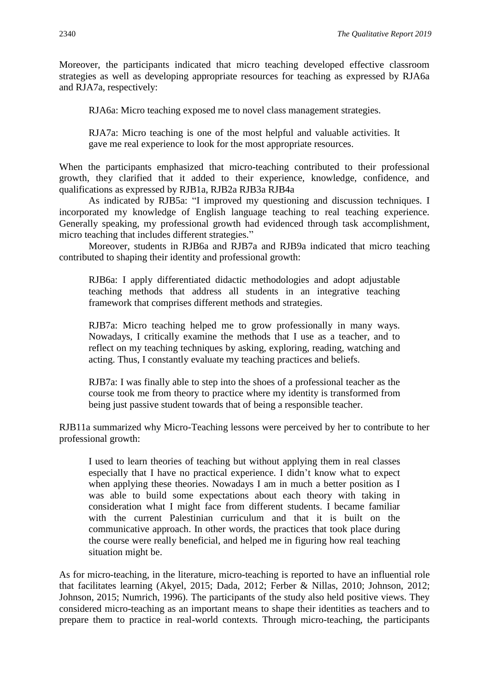Moreover, the participants indicated that micro teaching developed effective classroom strategies as well as developing appropriate resources for teaching as expressed by RJA6a and RJA7a, respectively:

RJA6a: Micro teaching exposed me to novel class management strategies.

RJA7a: Micro teaching is one of the most helpful and valuable activities. It gave me real experience to look for the most appropriate resources.

When the participants emphasized that micro-teaching contributed to their professional growth, they clarified that it added to their experience, knowledge, confidence, and qualifications as expressed by RJB1a, RJB2a RJB3a RJB4a

As indicated by RJB5a: "I improved my questioning and discussion techniques. I incorporated my knowledge of English language teaching to real teaching experience. Generally speaking, my professional growth had evidenced through task accomplishment, micro teaching that includes different strategies."

Moreover, students in RJB6a and RJB7a and RJB9a indicated that micro teaching contributed to shaping their identity and professional growth:

RJB6a: I apply differentiated didactic methodologies and adopt adjustable teaching methods that address all students in an integrative teaching framework that comprises different methods and strategies.

RJB7a: Micro teaching helped me to grow professionally in many ways. Nowadays, I critically examine the methods that I use as a teacher, and to reflect on my teaching techniques by asking, exploring, reading, watching and acting. Thus, I constantly evaluate my teaching practices and beliefs.

RJB7a: I was finally able to step into the shoes of a professional teacher as the course took me from theory to practice where my identity is transformed from being just passive student towards that of being a responsible teacher.

RJB11a summarized why Micro-Teaching lessons were perceived by her to contribute to her professional growth:

I used to learn theories of teaching but without applying them in real classes especially that I have no practical experience. I didn't know what to expect when applying these theories. Nowadays I am in much a better position as I was able to build some expectations about each theory with taking in consideration what I might face from different students. I became familiar with the current Palestinian curriculum and that it is built on the communicative approach. In other words, the practices that took place during the course were really beneficial, and helped me in figuring how real teaching situation might be.

As for micro-teaching, in the literature, micro-teaching is reported to have an influential role that facilitates learning (Akyel, 2015; Dada, 2012; Ferber & Nillas, 2010; Johnson, 2012; Johnson, 2015; Numrich, 1996). The participants of the study also held positive views. They considered micro-teaching as an important means to shape their identities as teachers and to prepare them to practice in real-world contexts. Through micro-teaching, the participants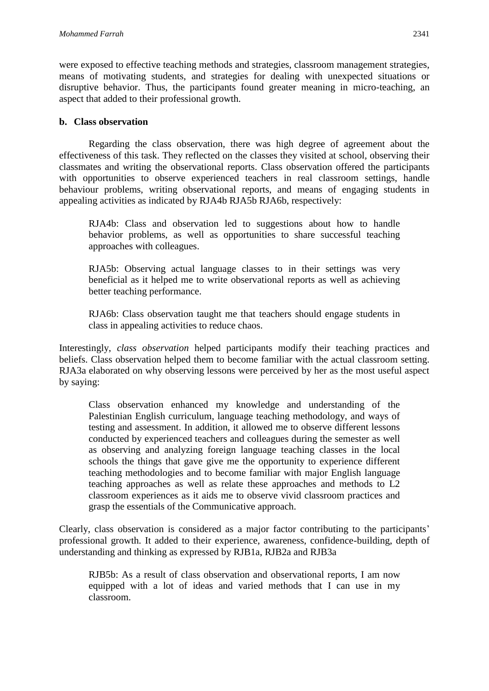were exposed to effective teaching methods and strategies, classroom management strategies, means of motivating students, and strategies for dealing with unexpected situations or disruptive behavior. Thus, the participants found greater meaning in micro-teaching, an aspect that added to their professional growth.

## **b. Class observation**

Regarding the class observation, there was high degree of agreement about the effectiveness of this task. They reflected on the classes they visited at school, observing their classmates and writing the observational reports. Class observation offered the participants with opportunities to observe experienced teachers in real classroom settings, handle behaviour problems, writing observational reports, and means of engaging students in appealing activities as indicated by RJA4b RJA5b RJA6b, respectively:

RJA4b: Class and observation led to suggestions about how to handle behavior problems, as well as opportunities to share successful teaching approaches with colleagues.

RJA5b: Observing actual language classes to in their settings was very beneficial as it helped me to write observational reports as well as achieving better teaching performance.

RJA6b: Class observation taught me that teachers should engage students in class in appealing activities to reduce chaos.

Interestingly, *class observation* helped participants modify their teaching practices and beliefs. Class observation helped them to become familiar with the actual classroom setting. RJA3a elaborated on why observing lessons were perceived by her as the most useful aspect by saying:

Class observation enhanced my knowledge and understanding of the Palestinian English curriculum, language teaching methodology, and ways of testing and assessment. In addition, it allowed me to observe different lessons conducted by experienced teachers and colleagues during the semester as well as observing and analyzing foreign language teaching classes in the local schools the things that gave give me the opportunity to experience different teaching methodologies and to become familiar with major English language teaching approaches as well as relate these approaches and methods to L2 classroom experiences as it aids me to observe vivid classroom practices and grasp the essentials of the Communicative approach.

Clearly, class observation is considered as a major factor contributing to the participants' professional growth. It added to their experience, awareness, confidence-building, depth of understanding and thinking as expressed by RJB1a, RJB2a and RJB3a

RJB5b: As a result of class observation and observational reports, I am now equipped with a lot of ideas and varied methods that I can use in my classroom.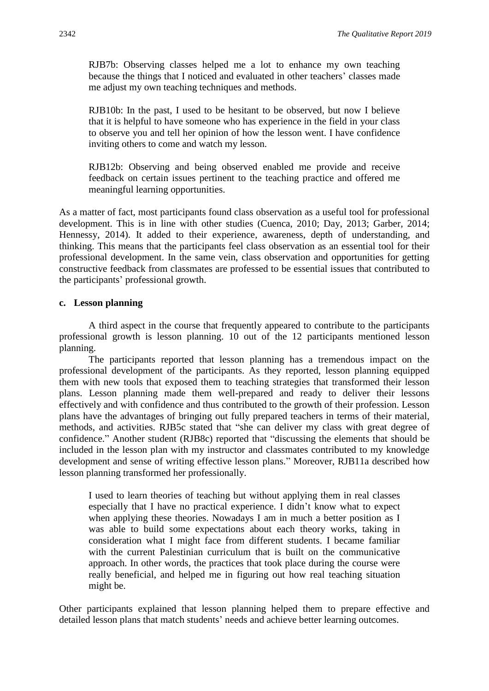RJB7b: Observing classes helped me a lot to enhance my own teaching because the things that I noticed and evaluated in other teachers' classes made me adjust my own teaching techniques and methods.

RJB10b: In the past, I used to be hesitant to be observed, but now I believe that it is helpful to have someone who has experience in the field in your class to observe you and tell her opinion of how the lesson went. I have confidence inviting others to come and watch my lesson.

RJB12b: Observing and being observed enabled me provide and receive feedback on certain issues pertinent to the teaching practice and offered me meaningful learning opportunities.

As a matter of fact, most participants found class observation as a useful tool for professional development. This is in line with other studies (Cuenca, 2010; Day, 2013; Garber, 2014; Hennessy, 2014). It added to their experience, awareness, depth of understanding, and thinking. This means that the participants feel class observation as an essential tool for their professional development. In the same vein, class observation and opportunities for getting constructive feedback from classmates are professed to be essential issues that contributed to the participants' professional growth.

## **c. Lesson planning**

A third aspect in the course that frequently appeared to contribute to the participants professional growth is lesson planning. 10 out of the 12 participants mentioned lesson planning.

The participants reported that lesson planning has a tremendous impact on the professional development of the participants. As they reported, lesson planning equipped them with new tools that exposed them to teaching strategies that transformed their lesson plans. Lesson planning made them well-prepared and ready to deliver their lessons effectively and with confidence and thus contributed to the growth of their profession. Lesson plans have the advantages of bringing out fully prepared teachers in terms of their material, methods, and activities. RJB5c stated that "she can deliver my class with great degree of confidence." Another student (RJB8c) reported that "discussing the elements that should be included in the lesson plan with my instructor and classmates contributed to my knowledge development and sense of writing effective lesson plans." Moreover, RJB11a described how lesson planning transformed her professionally.

I used to learn theories of teaching but without applying them in real classes especially that I have no practical experience. I didn't know what to expect when applying these theories. Nowadays I am in much a better position as I was able to build some expectations about each theory works, taking in consideration what I might face from different students. I became familiar with the current Palestinian curriculum that is built on the communicative approach. In other words, the practices that took place during the course were really beneficial, and helped me in figuring out how real teaching situation might be.

Other participants explained that lesson planning helped them to prepare effective and detailed lesson plans that match students' needs and achieve better learning outcomes.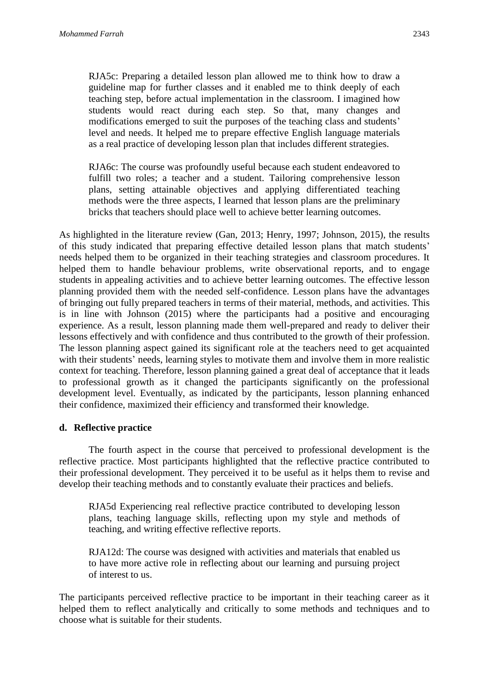RJA5c: Preparing a detailed lesson plan allowed me to think how to draw a guideline map for further classes and it enabled me to think deeply of each teaching step, before actual implementation in the classroom. I imagined how students would react during each step. So that, many changes and modifications emerged to suit the purposes of the teaching class and students' level and needs. It helped me to prepare effective English language materials as a real practice of developing lesson plan that includes different strategies.

RJA6c: The course was profoundly useful because each student endeavored to fulfill two roles; a teacher and a student. Tailoring comprehensive lesson plans, setting attainable objectives and applying differentiated teaching methods were the three aspects, I learned that lesson plans are the preliminary bricks that teachers should place well to achieve better learning outcomes.

As highlighted in the literature review (Gan, 2013; Henry, 1997; Johnson, 2015), the results of this study indicated that preparing effective detailed lesson plans that match students' needs helped them to be organized in their teaching strategies and classroom procedures. It helped them to handle behaviour problems, write observational reports, and to engage students in appealing activities and to achieve better learning outcomes. The effective lesson planning provided them with the needed self-confidence. Lesson plans have the advantages of bringing out fully prepared teachers in terms of their material, methods, and activities. This is in line with Johnson (2015) where the participants had a positive and encouraging experience. As a result, lesson planning made them well-prepared and ready to deliver their lessons effectively and with confidence and thus contributed to the growth of their profession. The lesson planning aspect gained its significant role at the teachers need to get acquainted with their students' needs, learning styles to motivate them and involve them in more realistic context for teaching. Therefore, lesson planning gained a great deal of acceptance that it leads to professional growth as it changed the participants significantly on the professional development level. Eventually, as indicated by the participants, lesson planning enhanced their confidence, maximized their efficiency and transformed their knowledge.

## **d. Reflective practice**

The fourth aspect in the course that perceived to professional development is the reflective practice. Most participants highlighted that the reflective practice contributed to their professional development. They perceived it to be useful as it helps them to revise and develop their teaching methods and to constantly evaluate their practices and beliefs.

RJA5d Experiencing real reflective practice contributed to developing lesson plans, teaching language skills, reflecting upon my style and methods of teaching, and writing effective reflective reports.

RJA12d: The course was designed with activities and materials that enabled us to have more active role in reflecting about our learning and pursuing project of interest to us.

The participants perceived reflective practice to be important in their teaching career as it helped them to reflect analytically and critically to some methods and techniques and to choose what is suitable for their students.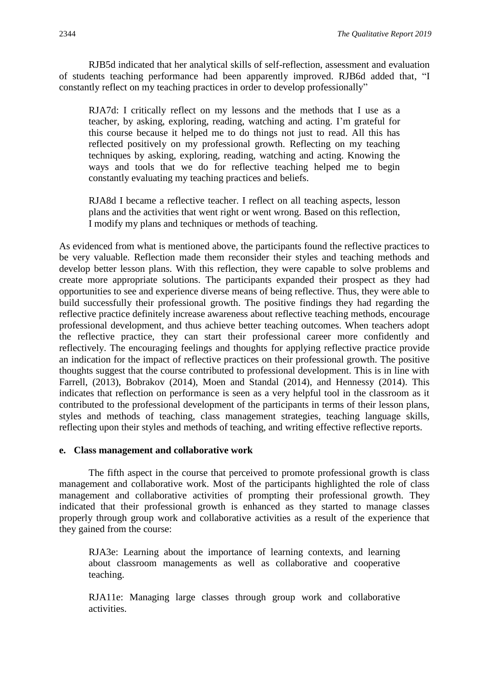RJB5d indicated that her analytical skills of self-reflection, assessment and evaluation of students teaching performance had been apparently improved. RJB6d added that, "I constantly reflect on my teaching practices in order to develop professionally"

RJA7d: I critically reflect on my lessons and the methods that I use as a teacher, by asking, exploring, reading, watching and acting. I'm grateful for this course because it helped me to do things not just to read. All this has reflected positively on my professional growth. Reflecting on my teaching techniques by asking, exploring, reading, watching and acting. Knowing the ways and tools that we do for reflective teaching helped me to begin constantly evaluating my teaching practices and beliefs.

RJA8d I became a reflective teacher. I reflect on all teaching aspects, lesson plans and the activities that went right or went wrong. Based on this reflection, I modify my plans and techniques or methods of teaching.

As evidenced from what is mentioned above, the participants found the reflective practices to be very valuable. Reflection made them reconsider their styles and teaching methods and develop better lesson plans. With this reflection, they were capable to solve problems and create more appropriate solutions. The participants expanded their prospect as they had opportunities to see and experience diverse means of being reflective. Thus, they were able to build successfully their professional growth. The positive findings they had regarding the reflective practice definitely increase awareness about reflective teaching methods, encourage professional development, and thus achieve better teaching outcomes. When teachers adopt the reflective practice, they can start their professional career more confidently and reflectively. The encouraging feelings and thoughts for applying reflective practice provide an indication for the impact of reflective practices on their professional growth. The positive thoughts suggest that the course contributed to professional development. This is in line with Farrell, (2013), Bobrakov (2014), Moen and Standal (2014), and Hennessy (2014). This indicates that reflection on performance is seen as a very helpful tool in the classroom as it contributed to the professional development of the participants in terms of their lesson plans, styles and methods of teaching, class management strategies, teaching language skills, reflecting upon their styles and methods of teaching, and writing effective reflective reports.

#### **e. Class management and collaborative work**

The fifth aspect in the course that perceived to promote professional growth is class management and collaborative work. Most of the participants highlighted the role of class management and collaborative activities of prompting their professional growth. They indicated that their professional growth is enhanced as they started to manage classes properly through group work and collaborative activities as a result of the experience that they gained from the course:

RJA3e: Learning about the importance of learning contexts, and learning about classroom managements as well as collaborative and cooperative teaching.

RJA11e: Managing large classes through group work and collaborative activities.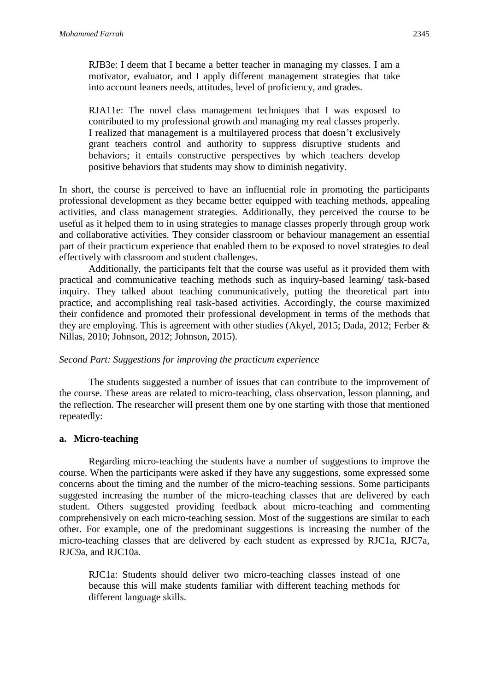RJB3e: I deem that I became a better teacher in managing my classes. I am a motivator, evaluator, and I apply different management strategies that take into account leaners needs, attitudes, level of proficiency, and grades.

RJA11e: The novel class management techniques that I was exposed to contributed to my professional growth and managing my real classes properly. I realized that management is a multilayered process that doesn't exclusively grant teachers control and authority to suppress disruptive students and behaviors; it entails constructive perspectives by which teachers develop positive behaviors that students may show to diminish negativity.

In short, the course is perceived to have an influential role in promoting the participants professional development as they became better equipped with teaching methods, appealing activities, and class management strategies. Additionally, they perceived the course to be useful as it helped them to in using strategies to manage classes properly through group work and collaborative activities. They consider classroom or behaviour management an essential part of their practicum experience that enabled them to be exposed to novel strategies to deal effectively with classroom and student challenges.

Additionally, the participants felt that the course was useful as it provided them with practical and communicative teaching methods such as inquiry-based learning/ task-based inquiry. They talked about teaching communicatively, putting the theoretical part into practice, and accomplishing real task-based activities. Accordingly, the course maximized their confidence and promoted their professional development in terms of the methods that they are employing. This is agreement with other studies (Akyel, 2015; Dada, 2012; Ferber & Nillas, 2010; Johnson, 2012; Johnson, 2015).

#### *Second Part: Suggestions for improving the practicum experience*

The students suggested a number of issues that can contribute to the improvement of the course. These areas are related to micro-teaching, class observation, lesson planning, and the reflection. The researcher will present them one by one starting with those that mentioned repeatedly:

#### **a. Micro-teaching**

Regarding micro-teaching the students have a number of suggestions to improve the course. When the participants were asked if they have any suggestions, some expressed some concerns about the timing and the number of the micro-teaching sessions. Some participants suggested increasing the number of the micro-teaching classes that are delivered by each student. Others suggested providing feedback about micro-teaching and commenting comprehensively on each micro-teaching session. Most of the suggestions are similar to each other. For example, one of the predominant suggestions is increasing the number of the micro-teaching classes that are delivered by each student as expressed by RJC1a, RJC7a, RJC9a, and RJC10a.

RJC1a: Students should deliver two micro-teaching classes instead of one because this will make students familiar with different teaching methods for different language skills.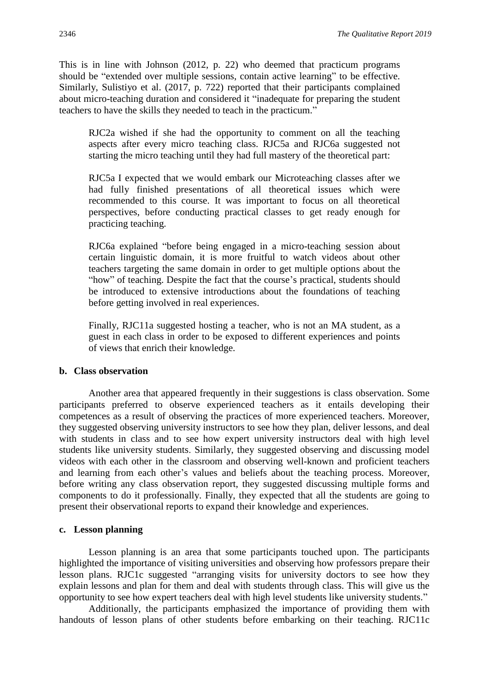This is in line with Johnson (2012, p. 22) who deemed that practicum programs should be "extended over multiple sessions, contain active learning" to be effective. Similarly, Sulistiyo et al. (2017, p. 722) reported that their participants complained about micro-teaching duration and considered it "inadequate for preparing the student teachers to have the skills they needed to teach in the practicum."

RJC2a wished if she had the opportunity to comment on all the teaching aspects after every micro teaching class. RJC5a and RJC6a suggested not starting the micro teaching until they had full mastery of the theoretical part:

RJC5a I expected that we would embark our Microteaching classes after we had fully finished presentations of all theoretical issues which were recommended to this course. It was important to focus on all theoretical perspectives, before conducting practical classes to get ready enough for practicing teaching.

RJC6a explained "before being engaged in a micro-teaching session about certain linguistic domain, it is more fruitful to watch videos about other teachers targeting the same domain in order to get multiple options about the "how" of teaching. Despite the fact that the course's practical, students should be introduced to extensive introductions about the foundations of teaching before getting involved in real experiences.

Finally, RJC11a suggested hosting a teacher, who is not an MA student, as a guest in each class in order to be exposed to different experiences and points of views that enrich their knowledge.

#### **b. Class observation**

Another area that appeared frequently in their suggestions is class observation. Some participants preferred to observe experienced teachers as it entails developing their competences as a result of observing the practices of more experienced teachers. Moreover, they suggested observing university instructors to see how they plan, deliver lessons, and deal with students in class and to see how expert university instructors deal with high level students like university students. Similarly, they suggested observing and discussing model videos with each other in the classroom and observing well-known and proficient teachers and learning from each other's values and beliefs about the teaching process. Moreover, before writing any class observation report, they suggested discussing multiple forms and components to do it professionally. Finally, they expected that all the students are going to present their observational reports to expand their knowledge and experiences.

#### **c. Lesson planning**

Lesson planning is an area that some participants touched upon. The participants highlighted the importance of visiting universities and observing how professors prepare their lesson plans. RJC1c suggested "arranging visits for university doctors to see how they explain lessons and plan for them and deal with students through class. This will give us the opportunity to see how expert teachers deal with high level students like university students."

Additionally, the participants emphasized the importance of providing them with handouts of lesson plans of other students before embarking on their teaching. RJC11c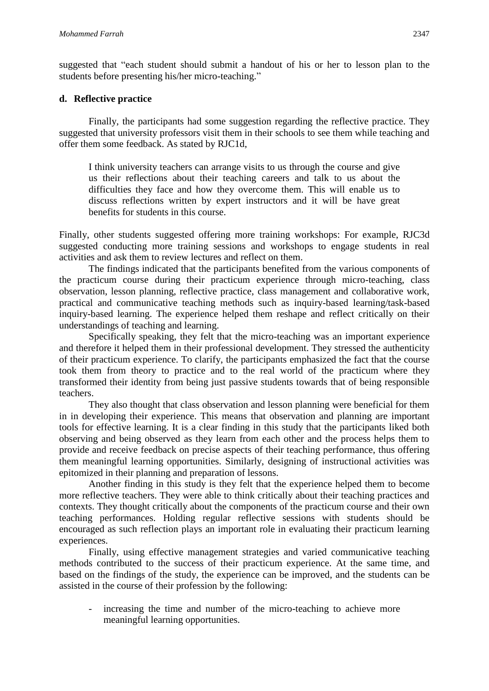suggested that "each student should submit a handout of his or her to lesson plan to the students before presenting his/her micro-teaching."

## **d. Reflective practice**

Finally, the participants had some suggestion regarding the reflective practice. They suggested that university professors visit them in their schools to see them while teaching and offer them some feedback. As stated by RJC1d,

I think university teachers can arrange visits to us through the course and give us their reflections about their teaching careers and talk to us about the difficulties they face and how they overcome them. This will enable us to discuss reflections written by expert instructors and it will be have great benefits for students in this course.

Finally, other students suggested offering more training workshops: For example, RJC3d suggested conducting more training sessions and workshops to engage students in real activities and ask them to review lectures and reflect on them.

The findings indicated that the participants benefited from the various components of the practicum course during their practicum experience through micro-teaching, class observation, lesson planning, reflective practice, class management and collaborative work, practical and communicative teaching methods such as inquiry-based learning/task-based inquiry-based learning. The experience helped them reshape and reflect critically on their understandings of teaching and learning.

Specifically speaking, they felt that the micro-teaching was an important experience and therefore it helped them in their professional development. They stressed the authenticity of their practicum experience. To clarify, the participants emphasized the fact that the course took them from theory to practice and to the real world of the practicum where they transformed their identity from being just passive students towards that of being responsible teachers.

They also thought that class observation and lesson planning were beneficial for them in in developing their experience. This means that observation and planning are important tools for effective learning. It is a clear finding in this study that the participants liked both observing and being observed as they learn from each other and the process helps them to provide and receive feedback on precise aspects of their teaching performance, thus offering them meaningful learning opportunities. Similarly, designing of instructional activities was epitomized in their planning and preparation of lessons.

Another finding in this study is they felt that the experience helped them to become more reflective teachers. They were able to think critically about their teaching practices and contexts. They thought critically about the components of the practicum course and their own teaching performances. Holding regular reflective sessions with students should be encouraged as such reflection plays an important role in evaluating their practicum learning experiences.

Finally, using effective management strategies and varied communicative teaching methods contributed to the success of their practicum experience. At the same time, and based on the findings of the study, the experience can be improved, and the students can be assisted in the course of their profession by the following:

increasing the time and number of the micro-teaching to achieve more meaningful learning opportunities.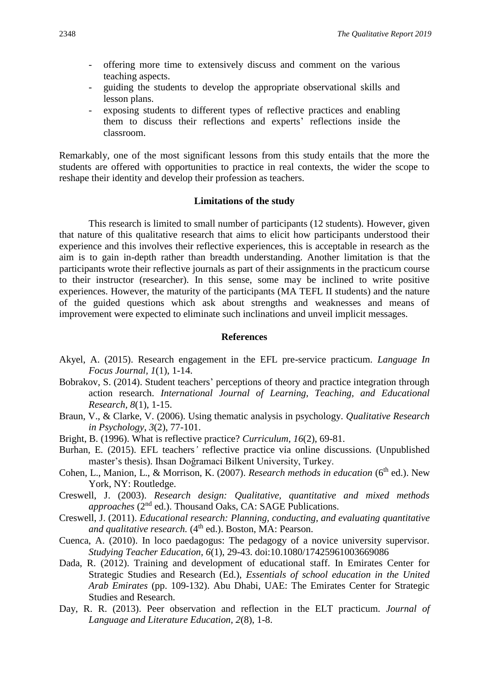- offering more time to extensively discuss and comment on the various teaching aspects.
- guiding the students to develop the appropriate observational skills and lesson plans.
- exposing students to different types of reflective practices and enabling them to discuss their reflections and experts' reflections inside the classroom.

Remarkably, one of the most significant lessons from this study entails that the more the students are offered with opportunities to practice in real contexts, the wider the scope to reshape their identity and develop their profession as teachers.

#### **Limitations of the study**

This research is limited to small number of participants (12 students). However, given that nature of this qualitative research that aims to elicit how participants understood their experience and this involves their reflective experiences, this is acceptable in research as the aim is to gain in-depth rather than breadth understanding. Another limitation is that the participants wrote their reflective journals as part of their assignments in the practicum course to their instructor (researcher). In this sense, some may be inclined to write positive experiences. However, the maturity of the participants (MA TEFL II students) and the nature of the guided questions which ask about strengths and weaknesses and means of improvement were expected to eliminate such inclinations and unveil implicit messages.

#### **References**

- Akyel, A. (2015). Research engagement in the EFL pre-service practicum. *Language In Focus Journal, 1*(1), 1-14.
- Bobrakov, S. (2014). Student teachers' perceptions of theory and practice integration through action research. *International Journal of Learning, Teaching, and Educational Research, 8*(1), 1-15.
- Braun, V., & Clarke, V. (2006). Using thematic analysis in psychology. *Qualitative Research in Psychology*, *3*(2), 77-101.
- Bright, B. (1996). What is reflective practice? *Curriculum*, *16*(2), 69-81.
- Burhan*,* E*.* (2015). EFL teachers*'* reflective practice via online discussions*.* (Unpublished master's thesis). Ihsan Doğramaci Bilkent University, Turkey.
- Cohen, L., Manion, L., & Morrison, K. (2007). *Research methods in education* (6<sup>th</sup> ed.). New York, NY: Routledge.
- Creswell, J. (2003). *Research design: Qualitative, quantitative and mixed methods approaches* (2<sup>nd</sup> ed.). Thousand Oaks, CA: SAGE Publications.
- Creswell, J. (2011). *Educational research: Planning, conducting, and evaluating quantitative*  and qualitative research. (4<sup>th</sup> ed.). Boston, MA: Pearson.
- Cuenca, A. (2010). In loco paedagogus: The pedagogy of a novice university supervisor. *Studying Teacher Education, 6*(1), 29-43. doi:10.1080/17425961003669086
- Dada, R. (2012). Training and development of educational staff. In Emirates Center for Strategic Studies and Research (Ed.), *Essentials of school education in the United Arab Emirates* (pp. 109-132). Abu Dhabi, UAE: The Emirates Center for Strategic Studies and Research.
- Day, R. R. (2013). Peer observation and reflection in the ELT practicum. *Journal of Language and Literature Education, 2*(8), 1-8.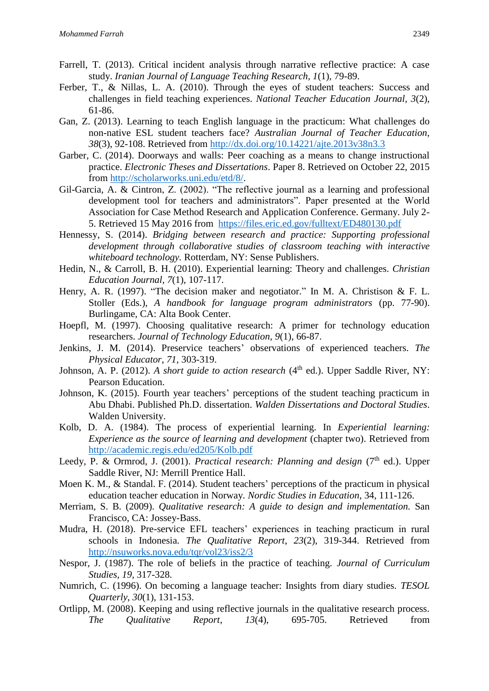- Farrell, T. (2013). Critical incident analysis through narrative reflective practice: A case study. *Iranian Journal of Language Teaching Research, 1*(1), 79-89.
- Ferber, T., & Nillas, L. A. (2010). Through the eyes of student teachers: Success and challenges in field teaching experiences. *National Teacher Education Journal, 3*(2), 61-86.
- Gan, Z. (2013). Learning to teach English language in the practicum: What challenges do non-native ESL student teachers face? *Australian Journal of Teacher Education, 38*(3), 92-108. Retrieved from <http://dx.doi.org/10.14221/ajte.2013v38n3.3>
- Garber, C. (2014). Doorways and walls: Peer coaching as a means to change instructional practice. *Electronic Theses and Dissertations*. Paper 8. Retrieved on October 22, 2015 from [http://scholarworks.uni.edu/etd/8/.](http://scholarworks.uni.edu/etd/8/)
- Gil-Garcia, A. & Cintron, Z. (2002). "The reflective journal as a learning and professional development tool for teachers and administrators". Paper presented at the World Association for Case Method Research and Application Conference. Germany. July 2- 5. Retrieved 15 May 2016 from <https://files.eric.ed.gov/fulltext/ED480130.pdf>
- Hennessy, S. (2014). *Bridging between research and practice: Supporting professional development through collaborative studies of classroom teaching with interactive whiteboard technology.* Rotterdam, NY: Sense Publishers.
- Hedin, N., & Carroll, B. H. (2010). Experiential learning: Theory and challenges. *Christian Education Journal, 7*(1), 107-117.
- Henry, A. R. (1997). "The decision maker and negotiator." In M. A. Christison & F. L. Stoller (Eds.), *A handbook for language program administrators* (pp. 77-90). Burlingame, CA: Alta Book Center.
- Hoepfl, M. (1997). Choosing qualitative research: A primer for technology education researchers. *Journal of Technology Education, 9*(1), 66-87.
- Jenkins, J. M. (2014). Preservice teachers' observations of experienced teachers. *The Physical Educator, 71*, 303-319.
- Johnson, A. P. (2012). *A short guide to action research* (4<sup>th</sup> ed.). Upper Saddle River, NY: Pearson Education.
- Johnson, K. (2015). Fourth year teachers' perceptions of the student teaching practicum in Abu Dhabi. Published Ph.D. dissertation. *Walden Dissertations and Doctoral Studies*. Walden University.
- Kolb, D. A. (1984). The process of experiential learning. In *Experiential learning: Experience as the source of learning and development* (chapter two). Retrieved from <http://academic.regis.edu/ed205/Kolb.pdf>
- Leedy, P. & Ormrod, J. (2001). *Practical research: Planning and design* (7<sup>th</sup> ed.). Upper Saddle River, NJ: Merrill Prentice Hall.
- Moen K. M., & Standal. F. (2014). Student teachers' perceptions of the practicum in physical education teacher education in Norway*. Nordic Studies in Education*, 34, 111-126.
- Merriam, S. B. (2009). *Qualitative research: A guide to design and implementation.* San Francisco, CA: Jossey-Bass.
- Mudra, H. (2018). Pre-service EFL teachers' experiences in teaching practicum in rural schools in Indonesia. *The Qualitative Report*, *23*(2), 319-344. Retrieved from <http://nsuworks.nova.edu/tqr/vol23/iss2/3>
- Nespor, J. (1987). The role of beliefs in the practice of teaching. *Journal of Curriculum Studies, 19,* 317-328.
- Numrich, C. (1996). On becoming a language teacher: Insights from diary studies. *TESOL Quarterly*, *30*(1), 131-153.
- Ortlipp, M. (2008). Keeping and using reflective journals in the qualitative research process. *The Qualitative Report*, *13*(4), 695-705. Retrieved from